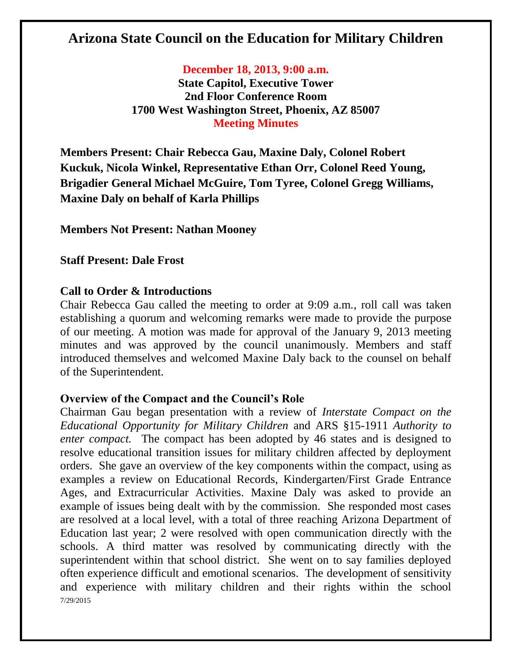# **Arizona State Council on the Education for Military Children**

**December 18, 2013, 9:00 a.m.**

**State Capitol, Executive Tower 2nd Floor Conference Room 1700 West Washington Street, Phoenix, AZ 85007 Meeting Minutes**

**Members Present: Chair Rebecca Gau, Maxine Daly, Colonel Robert Kuckuk, Nicola Winkel, Representative Ethan Orr, Colonel Reed Young, Brigadier General Michael McGuire, Tom Tyree, Colonel Gregg Williams, Maxine Daly on behalf of Karla Phillips**

**Members Not Present: Nathan Mooney**

**Staff Present: Dale Frost**

### **Call to Order & Introductions**

Chair Rebecca Gau called the meeting to order at 9:09 a.m., roll call was taken establishing a quorum and welcoming remarks were made to provide the purpose of our meeting. A motion was made for approval of the January 9, 2013 meeting minutes and was approved by the council unanimously. Members and staff introduced themselves and welcomed Maxine Daly back to the counsel on behalf of the Superintendent.

# **Overview of the Compact and the Council's Role**

7/29/2015 Chairman Gau began presentation with a review of *Interstate Compact on the Educational Opportunity for Military Children* and ARS §15-1911 *Authority to enter compact.* The compact has been adopted by 46 states and is designed to resolve educational transition issues for military children affected by deployment orders. She gave an overview of the key components within the compact, using as examples a review on Educational Records, Kindergarten/First Grade Entrance Ages, and Extracurricular Activities. Maxine Daly was asked to provide an example of issues being dealt with by the commission. She responded most cases are resolved at a local level, with a total of three reaching Arizona Department of Education last year; 2 were resolved with open communication directly with the schools. A third matter was resolved by communicating directly with the superintendent within that school district. She went on to say families deployed often experience difficult and emotional scenarios. The development of sensitivity and experience with military children and their rights within the school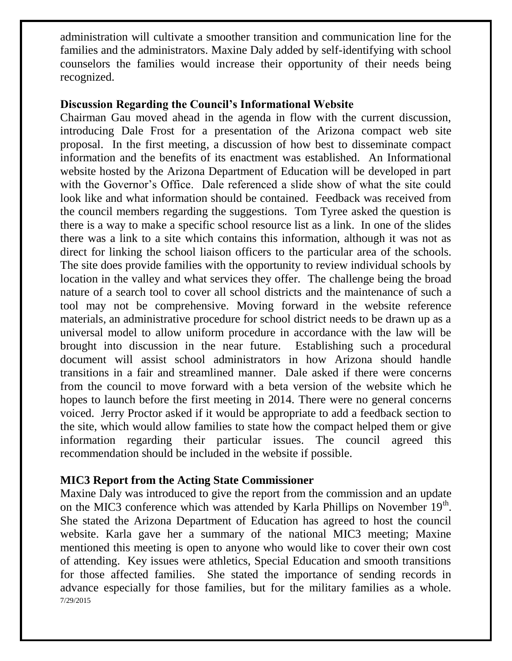administration will cultivate a smoother transition and communication line for the families and the administrators. Maxine Daly added by self-identifying with school counselors the families would increase their opportunity of their needs being recognized.

## **Discussion Regarding the Council's Informational Website**

Chairman Gau moved ahead in the agenda in flow with the current discussion, introducing Dale Frost for a presentation of the Arizona compact web site proposal. In the first meeting, a discussion of how best to disseminate compact information and the benefits of its enactment was established. An Informational website hosted by the Arizona Department of Education will be developed in part with the Governor's Office. Dale referenced a slide show of what the site could look like and what information should be contained. Feedback was received from the council members regarding the suggestions. Tom Tyree asked the question is there is a way to make a specific school resource list as a link. In one of the slides there was a link to a site which contains this information, although it was not as direct for linking the school liaison officers to the particular area of the schools. The site does provide families with the opportunity to review individual schools by location in the valley and what services they offer. The challenge being the broad nature of a search tool to cover all school districts and the maintenance of such a tool may not be comprehensive. Moving forward in the website reference materials, an administrative procedure for school district needs to be drawn up as a universal model to allow uniform procedure in accordance with the law will be brought into discussion in the near future. Establishing such a procedural document will assist school administrators in how Arizona should handle transitions in a fair and streamlined manner. Dale asked if there were concerns from the council to move forward with a beta version of the website which he hopes to launch before the first meeting in 2014. There were no general concerns voiced. Jerry Proctor asked if it would be appropriate to add a feedback section to the site, which would allow families to state how the compact helped them or give information regarding their particular issues. The council agreed this recommendation should be included in the website if possible.

# **MIC3 Report from the Acting State Commissioner**

7/29/2015 Maxine Daly was introduced to give the report from the commission and an update on the MIC3 conference which was attended by Karla Phillips on November  $19<sup>th</sup>$ . She stated the Arizona Department of Education has agreed to host the council website. Karla gave her a summary of the national MIC3 meeting; Maxine mentioned this meeting is open to anyone who would like to cover their own cost of attending. Key issues were athletics, Special Education and smooth transitions for those affected families. She stated the importance of sending records in advance especially for those families, but for the military families as a whole.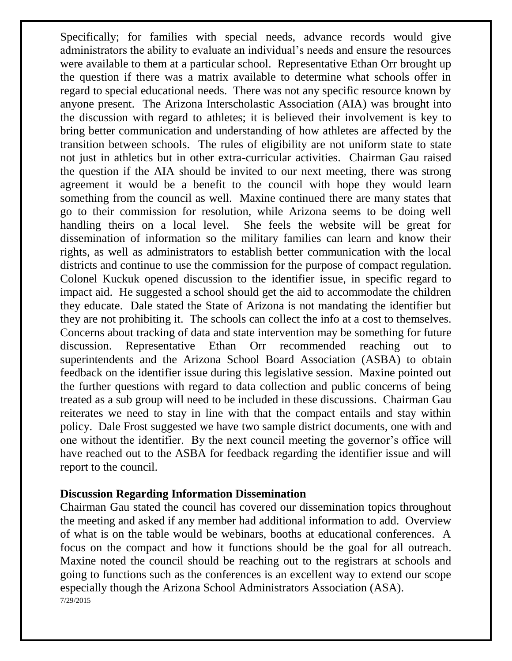Specifically; for families with special needs, advance records would give administrators the ability to evaluate an individual's needs and ensure the resources were available to them at a particular school. Representative Ethan Orr brought up the question if there was a matrix available to determine what schools offer in regard to special educational needs. There was not any specific resource known by anyone present. The Arizona Interscholastic Association (AIA) was brought into the discussion with regard to athletes; it is believed their involvement is key to bring better communication and understanding of how athletes are affected by the transition between schools. The rules of eligibility are not uniform state to state not just in athletics but in other extra-curricular activities. Chairman Gau raised the question if the AIA should be invited to our next meeting, there was strong agreement it would be a benefit to the council with hope they would learn something from the council as well. Maxine continued there are many states that go to their commission for resolution, while Arizona seems to be doing well handling theirs on a local level. She feels the website will be great for dissemination of information so the military families can learn and know their rights, as well as administrators to establish better communication with the local districts and continue to use the commission for the purpose of compact regulation. Colonel Kuckuk opened discussion to the identifier issue, in specific regard to impact aid. He suggested a school should get the aid to accommodate the children they educate. Dale stated the State of Arizona is not mandating the identifier but they are not prohibiting it. The schools can collect the info at a cost to themselves. Concerns about tracking of data and state intervention may be something for future discussion. Representative Ethan Orr recommended reaching out to superintendents and the Arizona School Board Association (ASBA) to obtain feedback on the identifier issue during this legislative session. Maxine pointed out the further questions with regard to data collection and public concerns of being treated as a sub group will need to be included in these discussions. Chairman Gau reiterates we need to stay in line with that the compact entails and stay within policy. Dale Frost suggested we have two sample district documents, one with and one without the identifier. By the next council meeting the governor's office will have reached out to the ASBA for feedback regarding the identifier issue and will report to the council.

#### **Discussion Regarding Information Dissemination**

7/29/2015 Chairman Gau stated the council has covered our dissemination topics throughout the meeting and asked if any member had additional information to add. Overview of what is on the table would be webinars, booths at educational conferences. A focus on the compact and how it functions should be the goal for all outreach. Maxine noted the council should be reaching out to the registrars at schools and going to functions such as the conferences is an excellent way to extend our scope especially though the Arizona School Administrators Association (ASA).